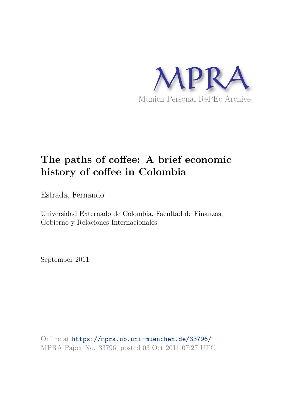

# **The paths of coffee: A brief economic history of coffee in Colombia**

Estrada, Fernando

Universidad Externado de Colombia, Facultad de Finanzas, Gobierno y Relaciones Internacionales

September 2011

Online at https://mpra.ub.uni-muenchen.de/33796/ MPRA Paper No. 33796, posted 03 Oct 2011 07:27 UTC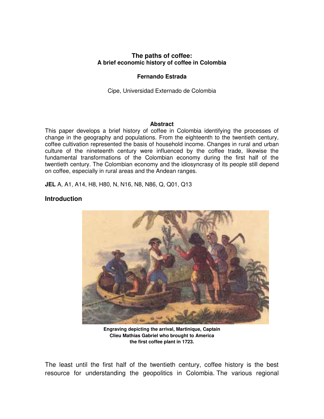## **The paths of coffee: A brief economic history of coffee in Colombia**

## **Fernando Estrada**

Cipe, Universidad Externado de Colombia

#### **Abstract**

This paper develops a brief history of coffee in Colombia identifying the processes of change in the geography and populations. From the eighteenth to the twentieth century, coffee cultivation represented the basis of household income. Changes in rural and urban culture of the nineteenth century were influenced by the coffee trade, likewise the fundamental transformations of the Colombian economy during the first half of the twentieth century. The Colombian economy and the idiosyncrasy of its people still depend on coffee, especially in rural areas and the Andean ranges.

**JEL** A, A1, A14, H8, H80, N, N16, N8, N86, Q, Q01, Q13

## **Introduction**



**Engraving depicting the arrival, Martinique, Captain Clieu Mathias Gabriel who brought to America the first coffee plant in 1723.** 

The least until the first half of the twentieth century, coffee history is the best resource for understanding the geopolitics in Colombia. The various regional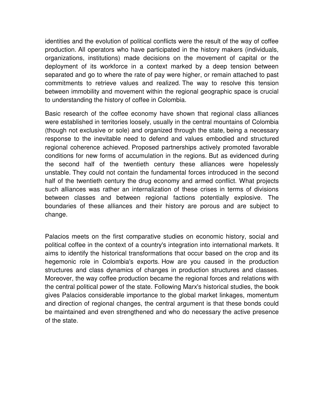identities and the evolution of political conflicts were the result of the way of coffee production. All operators who have participated in the history makers (individuals, organizations, institutions) made decisions on the movement of capital or the deployment of its workforce in a context marked by a deep tension between separated and go to where the rate of pay were higher, or remain attached to past commitments to retrieve values and realized. The way to resolve this tension between immobility and movement within the regional geographic space is crucial to understanding the history of coffee in Colombia.

Basic research of the coffee economy have shown that regional class alliances were established in territories loosely, usually in the central mountains of Colombia (though not exclusive or sole) and organized through the state, being a necessary response to the inevitable need to defend and values embodied and structured regional coherence achieved. Proposed partnerships actively promoted favorable conditions for new forms of accumulation in the regions. But as evidenced during the second half of the twentieth century these alliances were hopelessly unstable. They could not contain the fundamental forces introduced in the second half of the twentieth century the drug economy and armed conflict. What projects such alliances was rather an internalization of these crises in terms of divisions between classes and between regional factions potentially explosive. The boundaries of these alliances and their history are porous and are subject to change.

Palacios meets on the first comparative studies on economic history, social and political coffee in the context of a country's integration into international markets. It aims to identify the historical transformations that occur based on the crop and its hegemonic role in Colombia's exports. How are you caused in the production structures and class dynamics of changes in production structures and classes. Moreover, the way coffee production became the regional forces and relations with the central political power of the state. Following Marx's historical studies, the book gives Palacios considerable importance to the global market linkages, momentum and direction of regional changes, the central argument is that these bonds could be maintained and even strengthened and who do necessary the active presence of the state.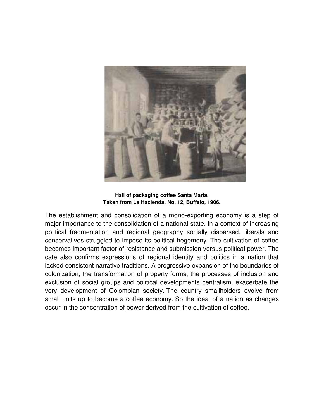

**Hall of packaging coffee Santa Maria. Taken from La Hacienda, No. 12, Buffalo, 1906.**

The establishment and consolidation of a mono-exporting economy is a step of major importance to the consolidation of a national state. In a context of increasing political fragmentation and regional geography socially dispersed, liberals and conservatives struggled to impose its political hegemony. The cultivation of coffee becomes important factor of resistance and submission versus political power. The cafe also confirms expressions of regional identity and politics in a nation that lacked consistent narrative traditions. A progressive expansion of the boundaries of colonization, the transformation of property forms, the processes of inclusion and exclusion of social groups and political developments centralism, exacerbate the very development of Colombian society. The country smallholders evolve from small units up to become a coffee economy. So the ideal of a nation as changes occur in the concentration of power derived from the cultivation of coffee.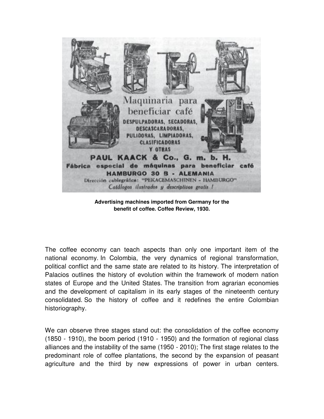

**Advertising machines imported from Germany for the benefit of coffee. Coffee Review, 1930.**

The coffee economy can teach aspects than only one important item of the national economy. In Colombia, the very dynamics of regional transformation, political conflict and the same state are related to its history. The interpretation of Palacios outlines the history of evolution within the framework of modern nation states of Europe and the United States. The transition from agrarian economies and the development of capitalism in its early stages of the nineteenth century consolidated. So the history of coffee and it redefines the entire Colombian historiography.

We can observe three stages stand out: the consolidation of the coffee economy (1850 - 1910), the boom period (1910 - 1950) and the formation of regional class alliances and the instability of the same (1950 - 2010); The first stage relates to the predominant role of coffee plantations, the second by the expansion of peasant agriculture and the third by new expressions of power in urban centers.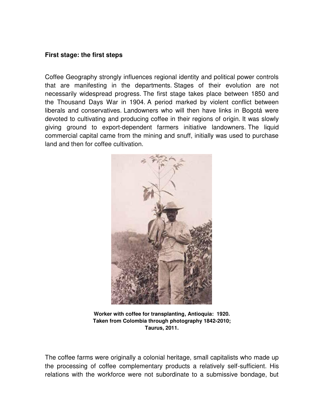# **First stage: the first steps**

Coffee Geography strongly influences regional identity and political power controls that are manifesting in the departments. Stages of their evolution are not necessarily widespread progress. The first stage takes place between 1850 and the Thousand Days War in 1904. A period marked by violent conflict between liberals and conservatives. Landowners who will then have links in Bogotá were devoted to cultivating and producing coffee in their regions of origin. It was slowly giving ground to export-dependent farmers initiative landowners. The liquid commercial capital came from the mining and snuff, initially was used to purchase land and then for coffee cultivation.



**Worker with coffee for transplanting, Antioquia: 1920. Taken from Colombia through photography 1842-2010; Taurus, 2011.**

The coffee farms were originally a colonial heritage, small capitalists who made up the processing of coffee complementary products a relatively self-sufficient. His relations with the workforce were not subordinate to a submissive bondage, but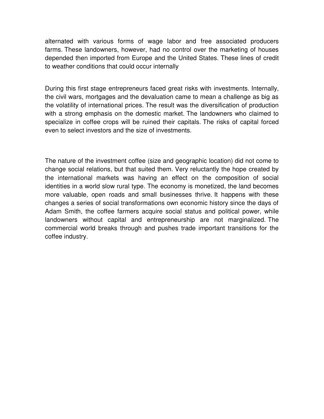alternated with various forms of wage labor and free associated producers farms. These landowners, however, had no control over the marketing of houses depended then imported from Europe and the United States. These lines of credit to weather conditions that could occur internally

During this first stage entrepreneurs faced great risks with investments. Internally, the civil wars, mortgages and the devaluation came to mean a challenge as big as the volatility of international prices. The result was the diversification of production with a strong emphasis on the domestic market. The landowners who claimed to specialize in coffee crops will be ruined their capitals. The risks of capital forced even to select investors and the size of investments.

The nature of the investment coffee (size and geographic location) did not come to change social relations, but that suited them. Very reluctantly the hope created by the international markets was having an effect on the composition of social identities in a world slow rural type. The economy is monetized, the land becomes more valuable, open roads and small businesses thrive. It happens with these changes a series of social transformations own economic history since the days of Adam Smith, the coffee farmers acquire social status and political power, while landowners without capital and entrepreneurship are not marginalized. The commercial world breaks through and pushes trade important transitions for the coffee industry.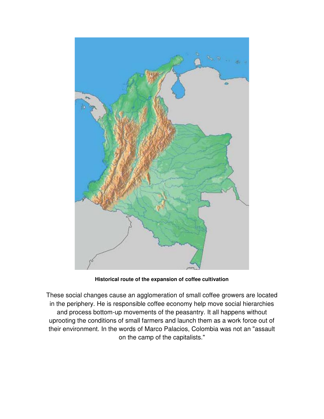

**Historical route of the expansion of coffee cultivation**

These social changes cause an agglomeration of small coffee growers are located in the periphery. He is responsible coffee economy help move social hierarchies and process bottom-up movements of the peasantry. It all happens without uprooting the conditions of small farmers and launch them as a work force out of their environment. In the words of Marco Palacios, Colombia was not an "assault on the camp of the capitalists."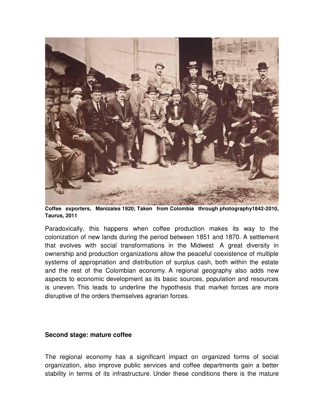

**Coffee exporters, Manizales 1920; Taken from Colombia through photography1842-2010, Taurus, 2011**

Paradoxically, this happens when coffee production makes its way to the colonization of new lands during the period between 1851 and 1870. A settlement that evolves with social transformations in the Midwest A great diversity in ownership and production organizations allow the peaceful coexistence of multiple systems of appropriation and distribution of surplus cash, both within the estate and the rest of the Colombian economy. A regional geography also adds new aspects to economic development as its basic sources, population and resources is uneven. This leads to underline the hypothesis that market forces are more disruptive of the orders themselves agrarian forces.

#### **Second stage: mature coffee**

The regional economy has a significant impact on organized forms of social organization, also improve public services and coffee departments gain a better stability in terms of its infrastructure. Under these conditions there is the mature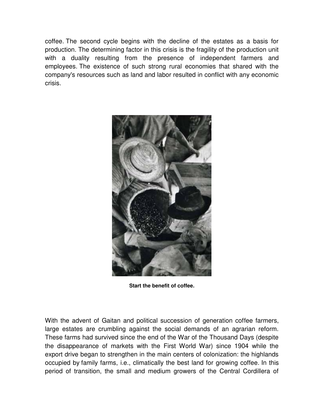coffee. The second cycle begins with the decline of the estates as a basis for production. The determining factor in this crisis is the fragility of the production unit with a duality resulting from the presence of independent farmers and employees. The existence of such strong rural economies that shared with the company's resources such as land and labor resulted in conflict with any economic crisis.



**Start the benefit of coffee.**

With the advent of Gaitan and political succession of generation coffee farmers, large estates are crumbling against the social demands of an agrarian reform. These farms had survived since the end of the War of the Thousand Days (despite the disappearance of markets with the First World War) since 1904 while the export drive began to strengthen in the main centers of colonization: the highlands occupied by family farms, i.e., climatically the best land for growing coffee. In this period of transition, the small and medium growers of the Central Cordillera of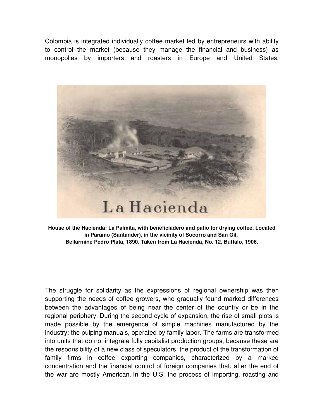Colombia is integrated individually coffee market led by entrepreneurs with ability to control the market (because they manage the financial and business) as monopolies by importers and roasters in Europe and United States.



**House of the Hacienda: La Palmita, with beneficiadero and patio for drying coffee. Located in Paramo (Santander), in the vicinity of Socorro and San Gil. Bellarmine Pedro Plata, 1890. Taken from La Hacienda, No. 12, Buffalo, 1906.** 

The struggle for solidarity as the expressions of regional ownership was then supporting the needs of coffee growers, who gradually found marked differences between the advantages of being near the center of the country or be in the regional periphery. During the second cycle of expansion, the rise of small plots is made possible by the emergence of simple machines manufactured by the industry: the pulping manuals, operated by family labor. The farms are transformed into units that do not integrate fully capitalist production groups, because these are the responsibility of a new class of speculators, the product of the transformation of family firms in coffee exporting companies, characterized by a marked concentration and the financial control of foreign companies that, after the end of the war are mostly American. In the U.S. the process of importing, roasting and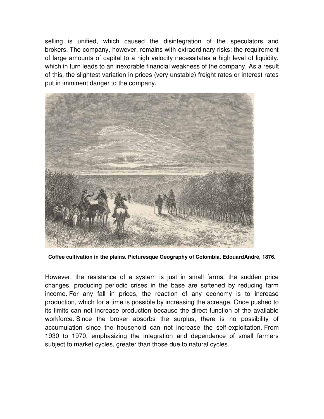selling is unified, which caused the disintegration of the speculators and brokers. The company, however, remains with extraordinary risks: the requirement of large amounts of capital to a high velocity necessitates a high level of liquidity, which in turn leads to an inexorable financial weakness of the company. As a result of this, the slightest variation in prices (very unstable) freight rates or interest rates put in imminent danger to the company.



**Coffee cultivation in the plains. Picturesque Geography of Colombia, EdouardAndré, 1876.**

However, the resistance of a system is just in small farms, the sudden price changes, producing periodic crises in the base are softened by reducing farm income. For any fall in prices, the reaction of any economy is to increase production, which for a time is possible by increasing the acreage. Once pushed to its limits can not increase production because the direct function of the available workforce. Since the broker absorbs the surplus, there is no possibility of accumulation since the household can not increase the self-exploitation. From 1930 to 1970, emphasizing the integration and dependence of small farmers subject to market cycles, greater than those due to natural cycles.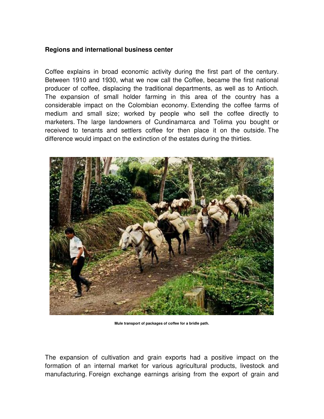## **Regions and international business center**

Coffee explains in broad economic activity during the first part of the century. Between 1910 and 1930, what we now call the Coffee, became the first national producer of coffee, displacing the traditional departments, as well as to Antioch. The expansion of small holder farming in this area of the country has a considerable impact on the Colombian economy. Extending the coffee farms of medium and small size; worked by people who sell the coffee directly to marketers. The large landowners of Cundinamarca and Tolima you bought or received to tenants and settlers coffee for then place it on the outside. The difference would impact on the extinction of the estates during the thirties.



**Mule transport of packages of coffee for a bridle path.**

The expansion of cultivation and grain exports had a positive impact on the formation of an internal market for various agricultural products, livestock and manufacturing. Foreign exchange earnings arising from the export of grain and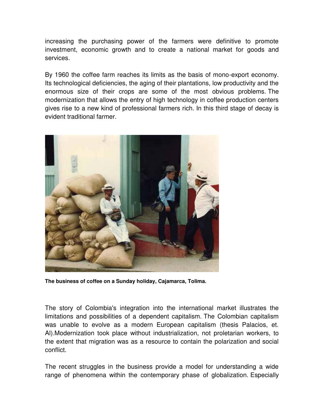increasing the purchasing power of the farmers were definitive to promote investment, economic growth and to create a national market for goods and services.

By 1960 the coffee farm reaches its limits as the basis of mono-export economy. Its technological deficiencies, the aging of their plantations, low productivity and the enormous size of their crops are some of the most obvious problems. The modernization that allows the entry of high technology in coffee production centers gives rise to a new kind of professional farmers rich. In this third stage of decay is evident traditional farmer.



**The business of coffee on a Sunday holiday, Cajamarca, Tolima.** 

The story of Colombia's integration into the international market illustrates the limitations and possibilities of a dependent capitalism. The Colombian capitalism was unable to evolve as a modern European capitalism (thesis Palacios, et. Al).Modernization took place without industrialization, not proletarian workers, to the extent that migration was as a resource to contain the polarization and social conflict.

The recent struggles in the business provide a model for understanding a wide range of phenomena within the contemporary phase of globalization. Especially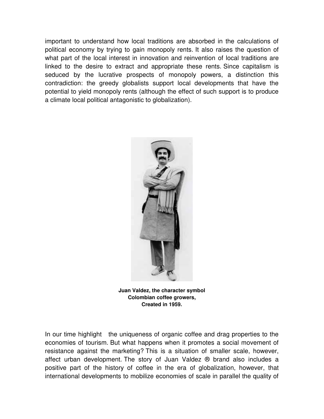important to understand how local traditions are absorbed in the calculations of political economy by trying to gain monopoly rents. It also raises the question of what part of the local interest in innovation and reinvention of local traditions are linked to the desire to extract and appropriate these rents. Since capitalism is seduced by the lucrative prospects of monopoly powers, a distinction this contradiction: the greedy globalists support local developments that have the potential to yield monopoly rents (although the effect of such support is to produce a climate local political antagonistic to globalization).



**Juan Valdez, the character symbol Colombian coffee growers, Created in 1959.** 

In our time highlight the uniqueness of organic coffee and drag properties to the economies of tourism. But what happens when it promotes a social movement of resistance against the marketing? This is a situation of smaller scale, however, affect urban development. The story of Juan Valdez ® brand also includes a positive part of the history of coffee in the era of globalization, however, that international developments to mobilize economies of scale in parallel the quality of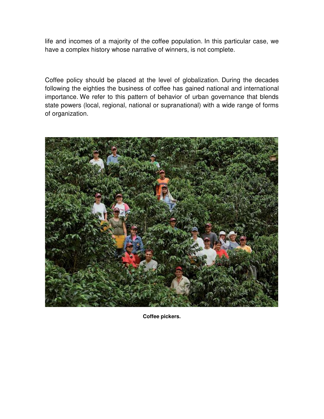life and incomes of a majority of the coffee population. In this particular case, we have a complex history whose narrative of winners, is not complete.

Coffee policy should be placed at the level of globalization. During the decades following the eighties the business of coffee has gained national and international importance. We refer to this pattern of behavior of urban governance that blends state powers (local, regional, national or supranational) with a wide range of forms of organization.



**Coffee pickers.**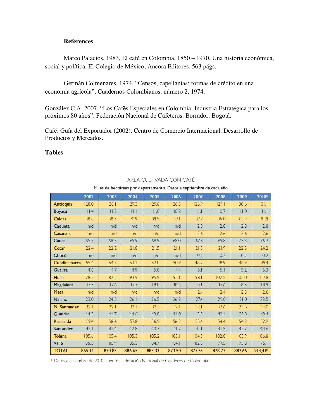#### **References**

Marco Palacios, 1983, El café en Colombia, 1850 – 1970, Una historia económica, social y política, El Colegio de México, Ancora Editores, 563 págs.

Germán Colmenares, 1974, "Censos, capellanías: formas de crédito en una economía agrícola", Cuadernos Colombianos, número 2, 1974.

González C.A. 2007, "Los Cafés Especiales en Colombia: Industria Estratégica para los próximos 80 años". Federación Nacional de Cafeteros. Borrador. Bogotá.

Café: Guía del Exportador (2002). Centro de Comercio Internacional. Desarrollo de Productos y Mercados.

#### **Tables**

|              | 2002   | 2003   | 2004   | 2005   | 2006   | 2007   | 2008   | 2009   | 2010*     |  |
|--------------|--------|--------|--------|--------|--------|--------|--------|--------|-----------|--|
| Antioquia    | 128.0  | 128.1  | 129.3  | 129.8  | 126.3  | 126.9  | 129.1  | 130.6  | 131.1     |  |
| Boyacá       | II.4   | 11.2   | 1.1    | 11.0   | 10.8   | Щ      | 10.7   | 11.0   | II.1      |  |
| Caldas       | 88.8   | 88.5   | 90.9   | 89.5   | 89.1   | 87.7   | 85.0   | 83.9   | 81.9      |  |
| Caquetá      | n/d    | n/d    | n/d    | n/d    | n/d    | 2.8    | 2.8    | 2.8    | 2.8       |  |
| Casanare     | n/d    | n/d    | n/d    | n/d    | n/d    | 2.6    | 2.6    | 2.6    | 2.6       |  |
| Cauca        | 65.7   | 68.5   | 69.9   | 68.9   | 68.0   | 67.8   | 69.8   | 73.3   | 76.2      |  |
| Cesar        | 22.4   | 22.2   | 21.8   | 21.5   | 21.1   | 21.5   | 21.9   | 22.5   | 24.2      |  |
| Chocó        | n/d    | n/d    | n/d    | n/d    | n/d    | 0.2    | 0.2    | 0.2    | 0.2       |  |
| Cundinamarca | 55.4   | 54.3   | 53.2   | 52.0   | 50.9   | 48.2   | 48.9   | 48.9   | 49.4      |  |
| Guajira      | 4.6    | 4.7    | 4.9    | 5.0    | 4.4    | 5.1    | 5.1    | 5.2    | 5.3       |  |
| Huila        | 78.2   | 82.2   | 93.9   | 95.9   | 95.1   | 98.1   | 102.5  | 105.0  | 117.8     |  |
| Magdalena    | 17.5   | 17.6   | 17.7   | 18.0   | 18.3   | 17.1   | 17.6   | 18.5   | 18.9      |  |
| Meta         | n/d    | n/d    | n/d    | n/d    | n/d    | 2.4    | 2.4    | 2.3    | 2.6       |  |
| Nariño       | 23.0   | 24.5   | 26.1   | 26.5   | 26.8   | 27.4   | 29.0   | 31.0   | 33.5      |  |
| N. Santander | 32.1   | 32.1   | 32.1   | 32.1   | 32.1   | 32.1   | 32.6   | 33.6   | 34.0      |  |
| Ouindio      | 44.5   | 44.7   | 44.6   | 43.0   | 44.0   | 43.3   | 42.4   | 39.8   | 43.4      |  |
| Risaralda    | 59.4   | 58.6   | 57.8   | 56.9   | 56.2   | 55.4   | 54.4   | 54.3   | 52.9      |  |
| Santander    | 42.1   | 42.4   | 42.8   | 43.3   | 41.2   | 41.1   | 41.5   | 42.7   | 44.6      |  |
| Tolima       | 105.6  | 105.4  | 105.3  | 105.2  | 105.1  | 104.3  | 102.8  | 103.9  | 106.8     |  |
| Valle        | 86.5   | 85.9   | 85.3   | 84.7   | 84.1   | 82.5   | 77.5   | 75.8   | 75.1      |  |
| <b>TOTAL</b> | 865.14 | 870.83 | 886.65 | 883.33 | 873.50 | 877.55 | 878.77 | 887.66 | $914,41*$ |  |

#### ÁREA CULTIVADA CON CAFÉ

Miles de hectáreas por departamento. Datos a septiembre de cada año

\* Datos a diciembre de 2010. Fuente: Federación Nacional de Cafeteros de Colombia